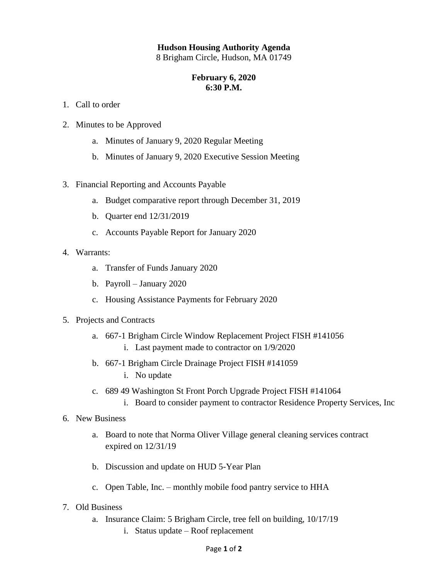## **Hudson Housing Authority Agenda**

8 Brigham Circle, Hudson, MA 01749

## **February 6, 2020 6:30 P.M.**

- 1. Call to order
- 2. Minutes to be Approved
	- a. Minutes of January 9, 2020 Regular Meeting
	- b. Minutes of January 9, 2020 Executive Session Meeting
- 3. Financial Reporting and Accounts Payable
	- a. Budget comparative report through December 31, 2019
	- b. Quarter end 12/31/2019
	- c. Accounts Payable Report for January 2020
- 4. Warrants:
	- a. Transfer of Funds January 2020
	- b. Payroll January 2020
	- c. Housing Assistance Payments for February 2020
- 5. Projects and Contracts
	- a. 667-1 Brigham Circle Window Replacement Project FISH #141056 i. Last payment made to contractor on 1/9/2020
	- b. 667-1 Brigham Circle Drainage Project FISH #141059
		- i. No update
	- c. 689 49 Washington St Front Porch Upgrade Project FISH #141064
		- i. Board to consider payment to contractor Residence Property Services, Inc
- 6. New Business
	- a. Board to note that Norma Oliver Village general cleaning services contract expired on 12/31/19
	- b. Discussion and update on HUD 5-Year Plan
	- c. Open Table, Inc. monthly mobile food pantry service to HHA
- 7. Old Business
	- a. Insurance Claim: 5 Brigham Circle, tree fell on building, 10/17/19
		- i. Status update Roof replacement